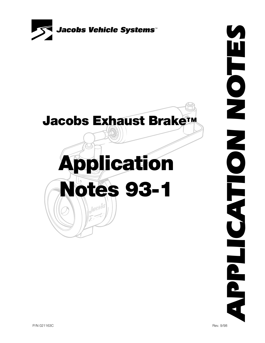

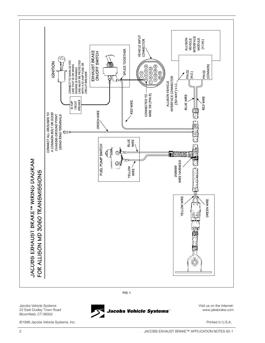

**FIG. 1**

Jacobs Vehicle Systems 22 East Dudley Town Road Bloomfield, CT 06002

©1998 Jacobs Vehicle Systems, Inc. Printed in U.S.A.

Visit us on the Internet: Jacobs Vehicle Systems" www.jakebrake.com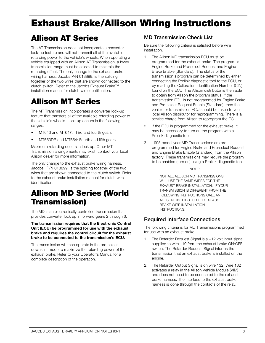# **Exhaust Brake/Allison Wiring Instructions**

# **Allison AT Series**

The AT Transmission does not incorporate a converter lock-up feature and will not transmit all of the available retarding power to the vehicle's wheels. When operating a vehicle equipped with an Allison AT Transmission, a lower transmission range must be selected to maintain the retarding effect. The only change to the exhaust brake wiring harness, Jacobs P/N 018899, is the splicing together of the two wires that are shown connected to the clutch switch. Refer to the Jacobs Exhaust Brake™ installation manual for clutch wire identification.

# **Allison MT Series**

The MT Transmission incorporates a converter lock-up feature that transfers all of the available retarding power to the vehicle's wheels. Lock up occurs in the following ranges:

- MT643 and MT647: Third and fourth gears
- MT653DR and MT654: Fourth and fifth gears

Maximum retarding occurs in lock up. Other MT Transmission arrangements may exist; contact your local Allison dealer for more information.

The only change to the exhaust brake wiring harness, Jacobs P/N 018899, is the splicing together of the two wires that are shown connected to the clutch switch. Refer to the exhaust brake installation manual for clutch wire identification.

# **Allison MD Series (World Transmission)**

The MD is an electronically controlled transmission that provides converter lock up in forward gears 2 through 6.

**The transmission requires that the Electronic Control Unit (ECU) be programmed for use with the exhaust brake and requires the control circuit for the exhaust brake to be connected to the transmission's ECU.**

The transmission will then operate in the pre-select downshift mode to maximize the retarding power of the exhaust brake. Refer to your Operator's Manual for a complete description of the operation.

#### **MD Transmission Check List**

Be sure the following criteria is satisfied before wire installation.

- 1. The Allison MD transmission ECU must be programmed for the exhaust brake. The program is Engine Brake and Pre-select Request and Engine Brake Enable (Standard). The status of the transmission's program can be determined by either connecting the Prolink diagnostic tool to the ECU, or by reading the Calibration Identification Number (CIN) found on the ECU. The Allison distributor is then able to obtain from Allison the program status. If the transmission ECU is not programmed for Engine Brake and Pre-select Request Enable (Standard), then the vehicle or transmission ECU should be taken to your local Allison distributor for reprogramming. There is a service charge from Allison to reprogram the ECU.
- 2. If the ECU is programmed for the exhaust brake, it may be necessary to turn on the program with a Prolink diagnostic tool.
- 3. 1995 model year MD Transmissions are preprogrammed for Engine Brake and Pre-select Request and Engine Brake Enable (Standard) from the Allison factory. These transmissions may require the program to be enabled (turn on) using a Prolink diagnostic tool.

#### NOTE:

NOT ALL ALLISON MD TRANSMISSIONS WILL USE THE SAME WIRES FOR THE EXHAUST BRAKE INSTALLATION. IF YOUR TRANSMISSION IS DIFFERENT FROM THE FOLLOWING INSTRUCTIONS CALL AN ALLISON DISTRIBUTOR FOR EXHAUST BRAKE WIRE INSTALLATION INSTRUCTIONS.

#### **Required Interface Connections**

The following criteria is for MD Transmissions programmed for use with an exhaust brake:

- The Retarder Request Signal is  $a +12$  volt input signal supplied to wire 119 from the exhaust brake ON/OFF switch. The Retarder Request Signal informs the transmission that an exhaust brake is installed on the engine.
- 2. The Retarder Output Signal is on wire 132. Wire 132 activates a relay in the Allison Vehicle Module (VIM) and does not need to be connected to the exhaust brake harness. The interface to the exhaust brake harness is done through the contacts of the relay.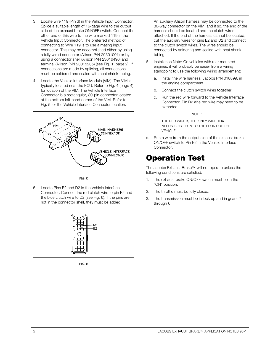- 3. Locate wire 119 (Pin 3) in the Vehicle Input Connector. Splice a suitable length of 16-gage wire to the output side of the exhaust brake ON/OFF switch. Connect the other end of this wire to the wire marked 119 in the Vehicle Input Connector. The preferred method of connecting to Wire 119 is to use a mating input connector. This may be accomplished either by using a fully wired connector (Allison P/N 29501001) or by using a connector shell (Allison P/N 23016490) and terminal (Allison P/N 23015205) (see Fig. 1, page 2). If connections are made by splicing, all connections must be soldered and sealed with heat shrink tubing.
- 4. Locate the Vehicle Interface Module (VIM). The VIM is typically located near the ECU. Refer to Fig. 4 (page 4) for location of the VIM. The Vehicle Interface Connector is a rectangular, 30-pin connector located at the bottom left-hand corner of the VIM. Refer to Fig. 5 for the Vehicle Interface Connector location.



**FIG. 5**

5. Locate Pins E2 and D2 in the Vehicle Interface Connector. Connect the red clutch wire to pin E2 and the blue clutch wire to D2 (see Fig. 6). If the pins are not in the connector shell, they must be added.



**FIG. 6**

An auxiliary Allison harness may be connected to the 30-way connector on the VIM, and if so, the end of the harness should be located and the clutch wires attached. If the end of the harness cannot be located, cut the auxiliary wires for pins E2 and D2 and connect to the clutch switch wires. The wires should be connected by soldering and sealed with heat shrink tubing.

- 6. Installation Note: On vehicles with rear mounted engines, it will probably be easier from a wiring standpoint to use the following wiring arrangement:
	- a. Install the wire harness, Jacobs P/N 018899, in the engine compartment.
	- b. Connect the clutch switch wires together.
	- c. Run the red wire forward to the Vehicle Interface Connector, Pin D2 (the red wire may need to be extended

#### NOTE:

THE RED WIRE IS THE ONLY WIRE THAT NEEDS TO BE RUN TO THE FRONT OF THE VEHICLE.

d. Run a wire from the output side of the exhaust brake ON/OFF switch to Pin E2 in the Vehicle Interface Connector.

## **Operation Test**

The Jacobs Exhaust Brake™ will not operate unless the following conditions are satisfied:

- 1. The exhaust brake ON/OFF switch must be in the "ON" position.
- 2. The throttle must be fully closed.
- 3. The transmission must be in lock up and in gears 2 through 6.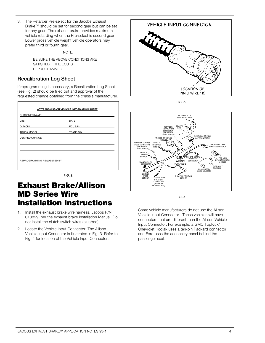3. The Retarder Pre-select for the Jacobs Exhaust Brake™ should be set for second gear but can be set for any gear. The exhaust brake provides maximum vehicle retarding when the Pre-select is second gear. Lower gross vehicle weight vehicle operators may prefer third or fourth gear.

NOTE:

BE SURE THE ABOVE CONDITIONS ARE SATISFIED IF THE ECU IS REPROGRAMMED.

#### **Recalibration Log Sheet**

If reprogramming is necessary, a Recalibration Log Sheet (see Fig. 2) should be filled out and approval of the requested change obtained from the chassis manufacturer.

| WT TRANSMISSION VEHICLE INFORMATION SHEET                                                                                                                                                                                          |                                                                                                                                                                                                                                |
|------------------------------------------------------------------------------------------------------------------------------------------------------------------------------------------------------------------------------------|--------------------------------------------------------------------------------------------------------------------------------------------------------------------------------------------------------------------------------|
| <b>CUSTOMER NAME: CONSTANT OF A SET ON A SET ON A SET OF A SET OF A SET OF A SET OF A SET OF A SET OF A SET OF A SET OF A SET OF A SET OF A SET OF A SET OF A SET OF A SET OF A SET OF A SET OF A SET OF A SET OF A SET OF A S</b> |                                                                                                                                                                                                                                |
| <u>VIN: __________________________________</u>                                                                                                                                                                                     | DATE: New York Products and the Second Second Second Second Second Second Second Second Second Second Second Second Second Second Second Second Second Second Second Second Second Second Second Second Second Second Second S |
| OLD CIN: A CONTROLLER CONTROLLER CONTROLLER CONTROLLER CONTROLLER CONTROLLER CONTROLLER CONTROLLER CONTROLLER                                                                                                                      | ECU S/N:                                                                                                                                                                                                                       |
| TRUCK MODEL: TRUCK MODEL:                                                                                                                                                                                                          | TRANS S/N:                                                                                                                                                                                                                     |
| <b>DESIRED CHANGE:</b>                                                                                                                                                                                                             |                                                                                                                                                                                                                                |
|                                                                                                                                                                                                                                    |                                                                                                                                                                                                                                |
|                                                                                                                                                                                                                                    |                                                                                                                                                                                                                                |
|                                                                                                                                                                                                                                    |                                                                                                                                                                                                                                |
| REPROGRAMMING REQUESTED BY:                                                                                                                                                                                                        |                                                                                                                                                                                                                                |
|                                                                                                                                                                                                                                    |                                                                                                                                                                                                                                |
|                                                                                                                                                                                                                                    |                                                                                                                                                                                                                                |



## **Exhaust Brake/Allison MD Series Wire Installation Instructions**

- 1. Install the exhaust brake wire harness, Jacobs P/N 018899, per the exhaust brake Installation Manual. Do not install the clutch switch wires (blue/red).
- 2. Locate the Vehicle Input Connector. The Allison Vehicle Input Connector is illustrated in Fig. 3. Refer to Fig. 4 for location of the Vehicle Input Connector.



**FIG. 3**



**FIG. 4**

Some vehicle manufacturers do not use the Allison Vehicle Input Connector. These vehicles will have connectors that are different than the Allison Vehicle Input Connector. For example, a GMC TopKick/ Chevrolet Kodiak uses a ten-pin Packard connector and Ford uses the accessory panel behind the passenger seat.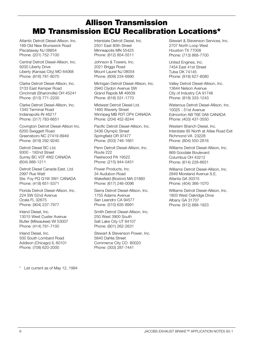## **Allison Transmission MD Transmission ECU Recalibration Locations\***

Atlantic Detroit Diesel-Allison, Inc. 169 Old New Brunswick Road Piscataway NJ 08854 Phone: (201) 752-7100

Central Detroit Diesel-Allison, Inc. 9200 Liberty Drive Liberty (Kansas City) MO 64068 Phone: (816) 781-8070

Clarke Detroit Diesel-Allison, Inc. 3133 East Kemper Road Cincinnati (Sharonville) OH 45241 Phone: (513) 771-2200

Clarke Detroit Diesel-Allison, Inc. 1340 Terminal Road Indianapolis IN 46217 Phone: (317) 783-6651

Covington Detroit Diesel-Allison Inc. 6200 Swiggett Road Greensboro NC 27419-8949 Phone: (919) 292-9240

Detroit Diesel BC Ltd. 9300 - 192nd Street Surrey BC V3T 4W2 CANADA (604) 888-1211

Detroit Diesel Canada East, Ltd. 2997 Rue Watt Ste. Foy PQ G1W 3W1 CANADA Phone: (418) 651-5371

Florida Detroit Diesel-Allison, Inc. 224 SW 52nd Avenue Ocala FL 32675 Phone: (904) 237-7977

Inland Diesel, Inc. 13015 West Custer Avenue Butler (Milwaukee) WI 53007 Phone: (414) 781-7100

Inland Diesel, Inc. 500 South Lombard Road Addison (Chicago) IL 60101 Phone: (708) 620-2000

Interstate Detroit Diesel, Inc. 2501 East 80th Street Minneapolis MN 55425 Phone: (612) 854-5511

Johnson & Towers, Inc. 2021 Briggs Road Mount Laurel NJ 08054 Phone: (609) 234-6990

Michigan Detroit Diesel-Allison, Inc. 2940 Clydon Avenue SW Grand Rapids MI 49509 Phone: (616) 531-1770

Midwest Detroit Diesel Ltd. 1460 Waverly Street Winnipeg MB R3T OP4 CANADA Phone: (204) 452-8244

Pacific Detroit Diesel-Allison, Inc. 3436 Olympic Street Springfield OR 97477 Phone: (503) 746-1661

Penn Detroit Diesel-Allison, Inc. Route 222 Fleetwood PA 19522 Phone: (215) 944-0451

Power Products, Inc. 34 Audubon Road Wakefield (Boston) MA 01880 Phone: (617) 246-0096

Sierra Detroit Diesel-Allison, Inc. 1755 Adams Avenue San Leandro CA 94577 Phone: (510) 635-8991

Smith Detroit Diesel-Allison, Inc. 250 West 3900 South Salt Lake City UT 84107 Phone: (801) 262-2631

Stewart & Stevenson Power, Inc. 5840 Dahlia Street Commerce City CO 80020 Phone: (303) 287-7441

Stewart & Stevenson Services, Inc. 2707 North Loop West Houston TX 77008 Phone: (713) 868-7700

United Engines, Inc. 7454 East 41st Street Tulsa OK 74145 Phone: (918) 627-8080

Valley Detroit Diesel-Allison, Inc. 13644 Nelson Avenue City of Industry CA 91746 Phone: (818) 333-1243

Waterous Detroit Diesel-Allison, Inc. 10025 - 51st Avenue Edmonton AB T6E 0A8 CANADA Phone: (403) 437-3550

Western Branch Diesel, Inc. Interstate 95 North at Atlee Road Exit Richmond VA 23228 Phone: (804) 550-2816

Williams Detroit Diesel-Allison, Inc. 869 Goodale Boulevard Columbus OH 43212 Phone: (614) 228-6651

Williams Detroit Diesel-Allison, Inc. 2849 Moreland Avenue S.E. Atlanta GA 30315 Phone: (404) 366-1070

Williams Detroit Diesel-Allison, Inc. 1803 West Oakridge Drive Albany GA 31707 Phone: (912) 888-1923

List current as of May 12, 1994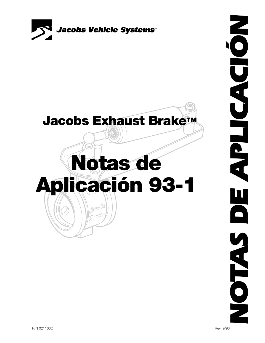



# **Notas de Aplicación 93-1** Jocobs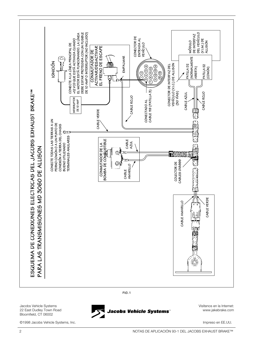

**FIG. 1**

Jacobs Vehicle Systems 22 East Dudley Town Road Bloomfield, CT 06002

©1998 Jacobs Vehicle Systems, Inc. Impreso en EE.UU.

Visítenos en la Internet: Jacobs Vehicle Systems" www.jakebrake.com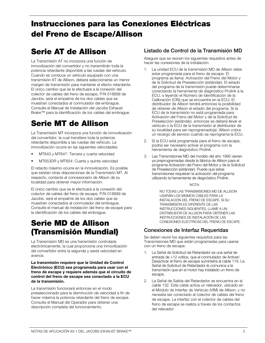# **Instrucciones para las Conexiones Eléctricas del Freno de Escape/Allison**

## **Serie AT de Allison**

La Transmisión AT no incorpora una función de inmovilización del convertidor y no transmitirán toda la potencia retardante disponible a las ruedas del vehículo. Cuando se conduce un vehículo equipado con una transmisión AT de Allison, deberá seleccionarse un menor margen de transmisión para mantener el efecto retardante. El único cambio que se le efectuará a la conexión del colector de cables del freno de escape, P/N 018899 de Jacobs, será el empalme de los dos cables que se muestran conectados al conmutador del embrague. Consulte el Manual de Instalación del Jacobs Exhaust Brake™ para la identificación de los cables del embrague.

# **Serie MT de Allison**

La Transmisión MT incorpora una función de inmovilización del convertidor, la cual transfiere toda la potencia retardante disponible a las ruedas del vehículo. La inmovilización ocurre en las siguientes velocidades:

- MT643 y MT647: Tercera y cuarta velocidad
- MT653DR y MT654: Cuarta y quinta velocidad

El retardo máximo ocurre en la inmovilización. Es posible que existan otras disposiciones de la Transmisión MT. Al respecto, contacte al concesionario de Allison de su localidad para obtener mayor información.

El único cambio que se le efectuará a la conexión del colector de cables del freno de escape, P/N 018899 de Jacobs, será el empalme de los dos cables que se muestran conectados al conmutador del embrague. Consulte el manual de instalación del freno de escape para la identificación de los cables del embrague.

#### **Serie MD de Allison (Transmisión Mundial)**

La Transmisión MD es una transmisión controlada electrónicamente, la cual proporciona una inmovilización del convertidor entre la segunda y sexta velocidad en avance.

#### **La transmisión requiere que la Unidad de Control Electrónico (ECU) sea programada para usar con el freno de escape y requiere además que el circuito de control del freno de escape sea conectado a la ECU de la transmisión.**

La transmisión funcionará entonces en el modo preseleccionado para la disminución de velocidad a fin de hacer máxima la potencia retardante del freno de escape. Consulte el Manual del Operador para obtener una descripción completa del funcionamiento.

#### **Listado de Control de la Transmisión MD**

Asegure que se reúnen los siguientes requisitos antes de hacer las conexiones de la instalación:

- La unidad ECU de la transmisión MD de Allison debe estar programada para el freno de escape. El programa se llama: Activación del Freno del Motor y de la Solicitud de Preselección (estándar). El estado del programa de la transmisión puede determinarse conectando la herramienta de diagnóstico Prolink a la ECU, o leyendo el Número de Identificación de la Calibración (CIN) que se encuentra en la ECU. El distribuidor de Allison tendrá entonces la posibilidad de obtener de Allison el estado del programa. Si la ECU de la transmisión no está programada para Activación del Freno del Motor y de la Solicitud de Preselección (estándar), entonces se deberá llevar el vehículo o la ECU de la transmisión al distribuidor de su localidad para ser reprogramado(a). Allison cobra un recargo de servicio cuando se reprograma la ECU.
- 2. Si la ECU está programada para el freno de escape, podría ser necesario activar el programa con la herramienta de diagnóstico Prolink.
- 3. Las Transmisiones MD del modelo del año 1995 vienen ya preprogramadas desde la fábrica de Allison para el programa Activación del Freno del Motor y de la Solicitud de Preselección (estándar). Puede que estas transmisiones requieran la activación del programa utilizando la herramienta de diagnóstico Prolink.

#### NOTA:

NO TODAS LAS TRANSMISIONES MD DE ALLISON USARÁN LOS MISMOS CABLES PARA LA INSTALACIÓN DEL FRENO DE ESCAPE. SI SU TRANSMISIÓN ES DIFERENTE DE LAS INSTRUCCIONES SIGUIENTES, LLAME A UN DISTRIBUIDOR DE ALLISON PARA OBTENER LAS INSTRUCCIONES DE INSTALACIÓN DE LAS CONEXIONES ELÉCTRICAS DEL FRENO DE ESCAPE.

#### **Conexiones de Interfaz Requeridas**

Se deben reunir los siguientes requisitos para las Transmisiones MD que están programadas para usarse con un freno de escape:

- 1. La Señal de Solicitud de Retardador es una señal de entrada de +12 voltios, que el conmutador de Activar/ Desactivar el freno de escape suministra al cable 119. La Señal de Solicitud de Retardador le comunica a la transmisión que en el motor hay instalado un freno de escape.
- 2. La Señal de Salida del Retardador se encuentra en el cable 132. Este cable activa un relevador, ubicado en el Módulo de Interfaz de Vehículo (VIM) de Allison, y no necesita ser conectado al colector de cables del freno de escape. La interfaz con el colector de cables del freno de escape se realiza a través de los contactos del relevador.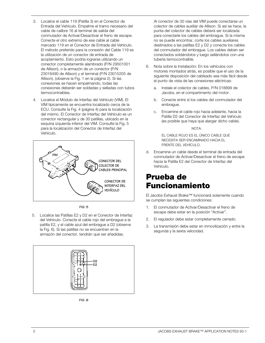- 3. Localice el cable 119 (Patilla 3) en el Conector de Entrada del Vehículo. Empalme el tramo necesario del cable de calibre 16 al terminal de salida del conmutador de Activar/Desactivar el freno de escape. Conecte el otro extremo de ese cable al cable marcado 119 en el Conector de Entrada del Vehículo. El método preferido para la conexión del Cable 119 es la utilización de un conector de entrada de acoplamiento. Esto podría lograrse utilizando un conector completamente alambrado (P/N 29501001 de Allison), o la armazón de un conector (P/N 23016490 de Allison) y el terminal (P/N 23015205 de Allison), (observe la Fig. 1 en la página 2). Si las conexiones se hacen empalmando, todas las conexiones deberán ser soldadas y selladas con tubos termocontraíbles.
- 4. Localice el Módulo de Interfaz del Vehículo (VIM). El VIM típicamente se encuentra localizado cerca de la ECU. Consulte la Fig. 4 (página 4) para la localización del mismo. El Conector de Interfaz del Vehículo es un conector rectangular y de 30 patillas, ubicado en la esquina izquierda inferior del VIM. Consulte la Fig. 5 para la localización del Conector de Interfaz del Vehículo.



**FIG. 5**

5. Localice las Patillas E2 y D2 en el Conector de Interfaz del Vehículo. Conecte el cable rojo del embrague a la patilla E2, y el cable azul del embrague a D2 (observe la Fig. 6). Si las patillas no se encuentran en la armazón del conector, tendrán que ser añadidas.



**FIG. 6**

Al conector de 30 vías del VIM puede conectarse un colector de cables auxiliar de Allison. Si así se hace, la punta del colector de cables deberá ser localizada para conectarle los cables del embrague. Si la misma no se puede encontrar, corte los cables auxiliares destinados a las patillas E2 y D2 y conecte los cables del conmutador del embrague. Los cables deben ser conectados soldándolos y luego sellándolos con una tubería termocontraíble.

- 6. Nota sobre la Instalación: En los vehículos con motores montados atrás, es posible que el uso de la siguiente disposición del cableado sea más fácil desde el punto de vista de las conexiones eléctricas:
	- a. Instale el colector de cables, P/N 018899 de Jacobs, en el compartimento del motor.
	- b. Conecte entre sí los cables del conmutador del embrague.
	- c. Encamine el cable rojo hacia adelante, hacia la Patilla D2 del Conector de Interfaz del Vehículo (es posible que haya que alargar dicho cable).

NOTA:

EL CABLE ROJO ES EL ÚNICO CABLE QUE NECESITA SER ENCAMINADO HACIA EL FRENTE DEL VEHÍCULO.

d. Encamine un cable desde el terminal de entrada del conmutador de Activar/Desactivar el freno de escape hacia la Patilla E2 del Conector de Interfaz del Vehículo.

## **Prueba de Funcionamiento**

El Jacobs Exhaust Brake™ funcionará solamente cuando se cumplan las siguientes condiciones:

- 1. El conmutador de Activar/Desactivar el freno de escape debe estar en la posición "Activar".
- 2. El regulador debe estar completamente cerrado.
- 3. La transmisión debe estar en inmovilización y entre la segunda y la sexta velocidad.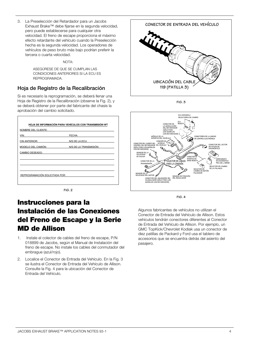3. La Preselección del Retardador para un Jacobs Exhaust Brake™ debe fijarse en la segunda velocidad, pero puede establecerse para cualquier otra velocidad. El freno de escape proporciona el máximo efecto retardante del vehículo cuando la Preselección hecha es la segunda velocidad. Los operadores de vehículos de peso bruto más bajo podrían preferir la tercera o cuarta velocidad.

#### $NOT\Delta$

ASEGÚRESE DE QUE SE CUMPLAN LAS CONDICIONES ANTERIORES SI LA ECU ES REPROGRAMADA.

#### **Hoja de Registro de la Recalibración**

Si es necesario la reprogramación, se deberá llenar una Hoja de Registro de la Recalibración (observe la Fig. 2), y se deberá obtener por parte del fabricante del chasis la aprobación del cambio solicitado.

| FECHA:<br>N/S DE LA ECU: |
|--------------------------|
|                          |
|                          |
|                          |
| N/S DE LA TRANSMISIÓN:   |
|                          |
|                          |
|                          |
|                          |
|                          |
|                          |
|                          |

**FIG. 2**

#### **Instrucciones para la Instalación de las Conexiones del Freno de Escape y la Serie MD de Allison**

- 1. Instale el colector de cables del freno de escape, P/N 018899 de Jacobs, según el Manual de Instalación del freno de escape. No instale los cables del conmutador del embrague (azul/rojo).
- 2. Localice el Conector de Entrada del Vehículo. En la Fig. 3 se ilustra el Conector de Entrada del Vehículo de Allison. Consulte la Fig. 4 para la ubicación del Conector de Entrada del Vehículo.



**FIG. 3**



**FIG. 4**

Algunos fabricantes de vehículos no utilizan el Conector de Entrada del Vehículo de Allison. Estos vehículos tendrán conectores diferentes al Conector de Entrada del Vehículo de Allison. Por ejemplo, un GMC TopKick/Chevrolet Kodiak usa un conector de diez patillas de Packard y Ford usa el tablero de accesorios que se encuentra detrás del asiento del pasajero.